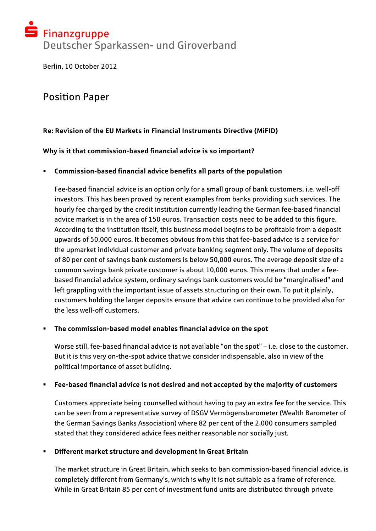# $\tilde{\mathbf{S}}$  Finanzgruppe Deutscher Sparkassen- und Giroverband

Berlin, 10 October 2012

# Position Paper

# **Re: Revision of the EU Markets in Financial Instruments Directive (MiFID)**

**Why is it that commission-based financial advice is so important?** 

# ! **Commission-based financial advice benefits all parts of the population**

Fee-based financial advice is an option only for a small group of bank customers, i.e. well-off investors. This has been proved by recent examples from banks providing such services. The hourly fee charged by the credit institution currently leading the German fee-based financial advice market is in the area of 150 euros. Transaction costs need to be added to this figure. According to the institution itself, this business model begins to be profitable from a deposit upwards of 50,000 euros. It becomes obvious from this that fee-based advice is a service for the upmarket individual customer and private banking segment only. The volume of deposits of 80 per cent of savings bank customers is below 50,000 euros. The average deposit size of a common savings bank private customer is about 10,000 euros. This means that under a feebased financial advice system, ordinary savings bank customers would be "marginalised" and left grappling with the important issue of assets structuring on their own. To put it plainly, customers holding the larger deposits ensure that advice can continue to be provided also for the less well-off customers.

#### ! **The commission-based model enables financial advice on the spot**

Worse still, fee-based financial advice is not available "on the spot" – i.e. close to the customer. But it is this very on-the-spot advice that we consider indispensable, also in view of the political importance of asset building.

#### ! **Fee-based financial advice is not desired and not accepted by the majority of customers**

Customers appreciate being counselled without having to pay an extra fee for the service. This can be seen from a representative survey of DSGV Vermögensbarometer (Wealth Barometer of the German Savings Banks Association) where 82 per cent of the 2,000 consumers sampled stated that they considered advice fees neither reasonable nor socially just.

#### ! **Different market structure and development in Great Britain**

The market structure in Great Britain, which seeks to ban commission-based financial advice, is completely different from Germany's, which is why it is not suitable as a frame of reference. While in Great Britain 85 per cent of investment fund units are distributed through private